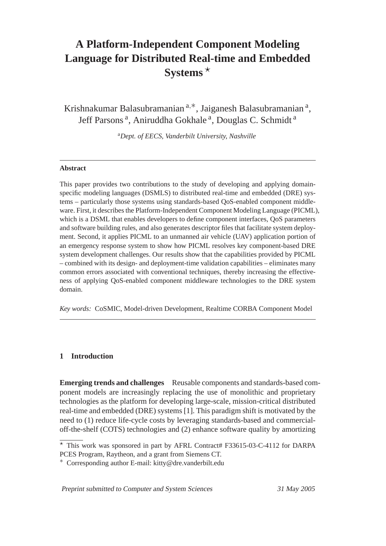# **A Platform-Independent Component Modeling Language for Distributed Real-time and Embedded Systems** ⋆

Krishnakumar Balasubramanian<sup>a,\*</sup>, Jaiganesh Balasubramanian<sup>a</sup>, Jeff Parsons<sup>a</sup>, Aniruddha Gokhale<sup>a</sup>, Douglas C. Schmidt<sup>a</sup>

<sup>a</sup>*Dept. of EECS, Vanderbilt University, Nashville*

#### **Abstract**

This paper provides two contributions to the study of developing and applying domainspecific modeling languages (DSMLS) to distributed real-time and embedded (DRE) systems – particularly those systems using standards-based QoS-enabled component middleware. First, it describes the Platform-Independent Component Modeling Language (PICML), which is a DSML that enables developers to define component interfaces, QoS parameters and software building rules, and also generates descriptor files that facilitate system deployment. Second, it applies PICML to an unmanned air vehicle (UAV) application portion of an emergency response system to show how PICML resolves key component-based DRE system development challenges. Our results show that the capabilities provided by PICML – combined with its design- and deployment-time validation capabilities – eliminates many common errors associated with conventional techniques, thereby increasing the effectiveness of applying QoS-enabled component middleware technologies to the DRE system domain.

*Key words:* CoSMIC, Model-driven Development, Realtime CORBA Component Model

# **1 Introduction**

**Emerging trends and challenges** Reusable components and standards-based component models are increasingly replacing the use of monolithic and proprietary technologies as the platform for developing large-scale, mission-critical distributed real-time and embedded (DRE) systems [1]. This paradigm shift is motivated by the need to (1) reduce life-cycle costs by leveraging standards-based and commercialoff-the-shelf (COTS) technologies and (2) enhance software quality by amortizing

Preprint submitted to Computer and System Sciences <sup>31</sup> May <sup>2005</sup>

 $\star$  This work was sponsored in part by AFRL Contract# F33615-03-C-4112 for DARPA

PCES Program, Raytheon, and a grant from Siemens CT.

<sup>∗</sup> Corresponding author E-mail: kitty@dre.vanderbilt.edu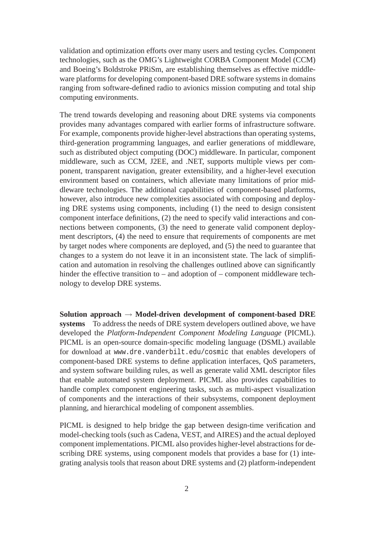validation and optimization efforts over many users and testing cycles. Component technologies, such as the OMG's Lightweight CORBA Component Model (CCM) and Boeing's Boldstroke PRiSm, are establishing themselves as effective middleware platforms for developing component-based DRE software systems in domains ranging from software-defined radio to avionics mission computing and total ship computing environments.

The trend towards developing and reasoning about DRE systems via components provides many advantages compared with earlier forms of infrastructure software. For example, components provide higher-level abstractions than operating systems, third-generation programming languages, and earlier generations of middleware, such as distributed object computing (DOC) middleware. In particular, component middleware, such as CCM, J2EE, and .NET, supports multiple views per component, transparent navigation, greater extensibility, and a higher-level execution environment based on containers, which alleviate many limitations of prior middleware technologies. The additional capabilities of component-based platforms, however, also introduce new complexities associated with composing and deploying DRE systems using components, including (1) the need to design consistent component interface definitions, (2) the need to specify valid interactions and connections between components, (3) the need to generate valid component deployment descriptors, (4) the need to ensure that requirements of components are met by target nodes where components are deployed, and (5) the need to guarantee that changes to a system do not leave it in an inconsistent state. The lack of simplification and automation in resolving the challenges outlined above can significantly hinder the effective transition to – and adoption of – component middleware technology to develop DRE systems.

**Solution approach** → **Model-driven development of component-based DRE systems** To address the needs of DRE system developers outlined above, we have developed the *Platform-Independent Component Modeling Language* (PICML). PICML is an open-source domain-specific modeling language (DSML) available for download at www.dre.vanderbilt.edu/cosmic that enables developers of component-based DRE systems to define application interfaces, QoS parameters, and system software building rules, as well as generate valid XML descriptor files that enable automated system deployment. PICML also provides capabilities to handle complex component engineering tasks, such as multi-aspect visualization of components and the interactions of their subsystems, component deployment planning, and hierarchical modeling of component assemblies.

PICML is designed to help bridge the gap between design-time verification and model-checking tools (such as Cadena, VEST, and AIRES) and the actual deployed component implementations. PICML also provides higher-level abstractions for describing DRE systems, using component models that provides a base for (1) integrating analysis tools that reason about DRE systems and (2) platform-independent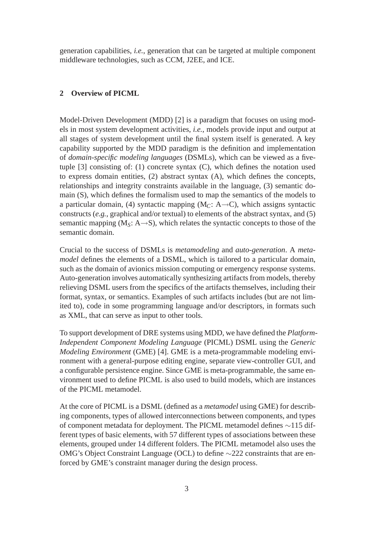generation capabilities, *i.e.*, generation that can be targeted at multiple component middleware technologies, such as CCM, J2EE, and ICE.

#### **2 Overview of PICML**

Model-Driven Development (MDD) [2] is a paradigm that focuses on using models in most system development activities, *i.e.*, models provide input and output at all stages of system development until the final system itself is generated. A key capability supported by the MDD paradigm is the definition and implementation of *domain-specific modeling languages* (DSMLs), which can be viewed as a fivetuple [3] consisting of: (1) concrete syntax (C), which defines the notation used to express domain entities, (2) abstract syntax (A), which defines the concepts, relationships and integrity constraints available in the language, (3) semantic domain (S), which defines the formalism used to map the semantics of the models to a particular domain, (4) syntactic mapping  $(M_C: A \rightarrow C)$ , which assigns syntactic constructs (*e.g.*, graphical and/or textual) to elements of the abstract syntax, and (5) semantic mapping ( $M_S$ : A→S), which relates the syntactic concepts to those of the semantic domain.

Crucial to the success of DSMLs is *metamodeling* and *auto-generation*. A *metamodel* defines the elements of a DSML, which is tailored to a particular domain, such as the domain of avionics mission computing or emergency response systems. Auto-generation involves automatically synthesizing artifacts from models, thereby relieving DSML users from the specifics of the artifacts themselves, including their format, syntax, or semantics. Examples of such artifacts includes (but are not limited to), code in some programming language and/or descriptors, in formats such as XML, that can serve as input to other tools.

To support development of DRE systems using MDD, we have defined the *Platform-Independent Component Modeling Language* (PICML) DSML using the *Generic Modeling Environment* (GME) [4]. GME is a meta-programmable modeling environment with a general-purpose editing engine, separate view-controller GUI, and a configurable persistence engine. Since GME is meta-programmable, the same environment used to define PICML is also used to build models, which are instances of the PICML metamodel.

At the core of PICML is a DSML (defined as a *metamodel* using GME) for describing components, types of allowed interconnections between components, and types of component metadata for deployment. The PICML metamodel defines ∼115 different types of basic elements, with 57 different types of associations between these elements, grouped under 14 different folders. The PICML metamodel also uses the OMG's Object Constraint Language (OCL) to define ∼222 constraints that are enforced by GME's constraint manager during the design process.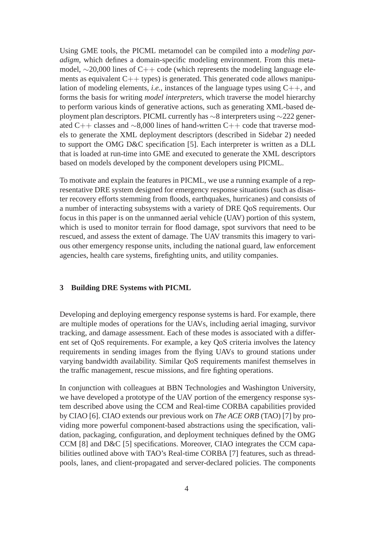Using GME tools, the PICML metamodel can be compiled into a *modeling paradigm*, which defines a domain-specific modeling environment. From this metamodel, ∼20,000 lines of C++ code (which represents the modeling language elements as equivalent  $C++$  types) is generated. This generated code allows manipulation of modeling elements, *i.e.*, instances of the language types using C++, and forms the basis for writing *model interpreters*, which traverse the model hierarchy to perform various kinds of generative actions, such as generating XML-based deployment plan descriptors. PICML currently has ∼8 interpreters using ∼222 generated C++ classes and ∼8,000 lines of hand-written C++ code that traverse models to generate the XML deployment descriptors (described in Sidebar 2) needed to support the OMG D&C specification [5]. Each interpreter is written as a DLL that is loaded at run-time into GME and executed to generate the XML descriptors based on models developed by the component developers using PICML.

To motivate and explain the features in PICML, we use a running example of a representative DRE system designed for emergency response situations (such as disaster recovery efforts stemming from floods, earthquakes, hurricanes) and consists of a number of interacting subsystems with a variety of DRE QoS requirements. Our focus in this paper is on the unmanned aerial vehicle (UAV) portion of this system, which is used to monitor terrain for flood damage, spot survivors that need to be rescued, and assess the extent of damage. The UAV transmits this imagery to various other emergency response units, including the national guard, law enforcement agencies, health care systems, firefighting units, and utility companies.

#### **3 Building DRE Systems with PICML**

Developing and deploying emergency response systems is hard. For example, there are multiple modes of operations for the UAVs, including aerial imaging, survivor tracking, and damage assessment. Each of these modes is associated with a different set of QoS requirements. For example, a key QoS criteria involves the latency requirements in sending images from the flying UAVs to ground stations under varying bandwidth availability. Similar QoS requirements manifest themselves in the traffic management, rescue missions, and fire fighting operations.

In conjunction with colleagues at BBN Technologies and Washington University, we have developed a prototype of the UAV portion of the emergency response system described above using the CCM and Real-time CORBA capabilities provided by CIAO [6]. CIAO extends our previous work on *The ACE ORB* (TAO) [7] by providing more powerful component-based abstractions using the specification, validation, packaging, configuration, and deployment techniques defined by the OMG CCM [8] and D&C [5] specifications. Moreover, CIAO integrates the CCM capabilities outlined above with TAO's Real-time CORBA [7] features, such as threadpools, lanes, and client-propagated and server-declared policies. The components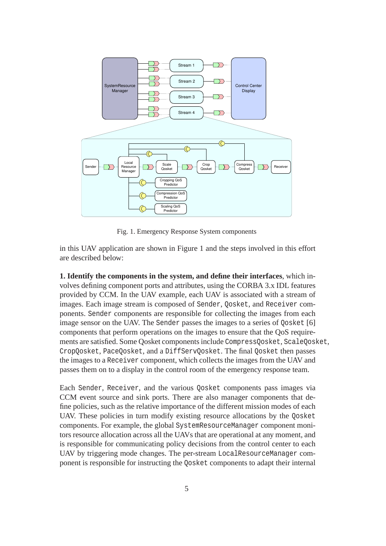

Fig. 1. Emergency Response System components

in this UAV application are shown in Figure 1 and the steps involved in this effort are described below:

**1. Identify the components in the system, and define their interfaces**, which involves defining component ports and attributes, using the CORBA 3.x IDL features provided by CCM. In the UAV example, each UAV is associated with a stream of images. Each image stream is composed of Sender, Qosket, and Receiver components. Sender components are responsible for collecting the images from each image sensor on the UAV. The Sender passes the images to a series of Qosket [6] components that perform operations on the images to ensure that the QoS requirements are satisfied. Some Qosket components include CompressQosket, ScaleQosket, CropQosket, PaceQosket, and a DiffServQosket. The final Qosket then passes the images to a Receiver component, which collects the images from the UAV and passes them on to a display in the control room of the emergency response team.

Each Sender, Receiver, and the various Qosket components pass images via CCM event source and sink ports. There are also manager components that define policies, such as the relative importance of the different mission modes of each UAV. These policies in turn modify existing resource allocations by the Qosket components. For example, the global SystemResourceManager component monitors resource allocation across all the UAVs that are operational at any moment, and is responsible for communicating policy decisions from the control center to each UAV by triggering mode changes. The per-stream LocalResourceManager component is responsible for instructing the Qosket components to adapt their internal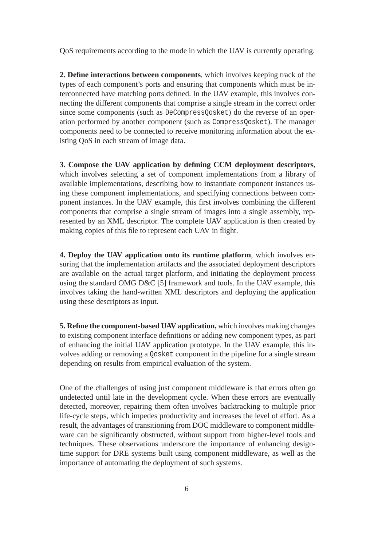QoS requirements according to the mode in which the UAV is currently operating.

**2. Define interactions between components**, which involves keeping track of the types of each component's ports and ensuring that components which must be interconnected have matching ports defined. In the UAV example, this involves connecting the different components that comprise a single stream in the correct order since some components (such as DeCompressQosket) do the reverse of an operation performed by another component (such as CompressQosket). The manager components need to be connected to receive monitoring information about the existing QoS in each stream of image data.

**3. Compose the UAV application by defining CCM deployment descriptors**, which involves selecting a set of component implementations from a library of available implementations, describing how to instantiate component instances using these component implementations, and specifying connections between component instances. In the UAV example, this first involves combining the different components that comprise a single stream of images into a single assembly, represented by an XML descriptor. The complete UAV application is then created by making copies of this file to represent each UAV in flight.

**4. Deploy the UAV application onto its runtime platform**, which involves ensuring that the implementation artifacts and the associated deployment descriptors are available on the actual target platform, and initiating the deployment process using the standard OMG D&C [5] framework and tools. In the UAV example, this involves taking the hand-written XML descriptors and deploying the application using these descriptors as input.

**5. Refine the component-based UAV application,** which involves making changes to existing component interface definitions or adding new component types, as part of enhancing the initial UAV application prototype. In the UAV example, this involves adding or removing a Qosket component in the pipeline for a single stream depending on results from empirical evaluation of the system.

One of the challenges of using just component middleware is that errors often go undetected until late in the development cycle. When these errors are eventually detected, moreover, repairing them often involves backtracking to multiple prior life-cycle steps, which impedes productivity and increases the level of effort. As a result, the advantages of transitioning from DOC middleware to component middleware can be significantly obstructed, without support from higher-level tools and techniques. These observations underscore the importance of enhancing designtime support for DRE systems built using component middleware, as well as the importance of automating the deployment of such systems.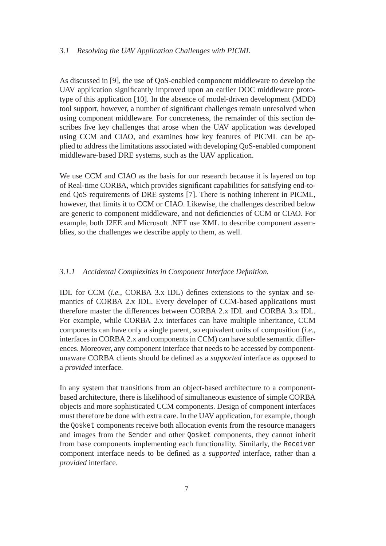#### *3.1 Resolving the UAV Application Challenges with PICML*

As discussed in [9], the use of QoS-enabled component middleware to develop the UAV application significantly improved upon an earlier DOC middleware prototype of this application [10]. In the absence of model-driven development (MDD) tool support, however, a number of significant challenges remain unresolved when using component middleware. For concreteness, the remainder of this section describes five key challenges that arose when the UAV application was developed using CCM and CIAO, and examines how key features of PICML can be applied to address the limitations associated with developing QoS-enabled component middleware-based DRE systems, such as the UAV application.

We use CCM and CIAO as the basis for our research because it is layered on top of Real-time CORBA, which provides significant capabilities for satisfying end-toend QoS requirements of DRE systems [7]. There is nothing inherent in PICML, however, that limits it to CCM or CIAO. Likewise, the challenges described below are generic to component middleware, and not deficiencies of CCM or CIAO. For example, both J2EE and Microsoft .NET use XML to describe component assemblies, so the challenges we describe apply to them, as well.

#### *3.1.1 Accidental Complexities in Component Interface Definition.*

IDL for CCM (*i.e.*, CORBA 3.x IDL) defines extensions to the syntax and semantics of CORBA 2.x IDL. Every developer of CCM-based applications must therefore master the differences between CORBA 2.x IDL and CORBA 3.x IDL. For example, while CORBA 2.x interfaces can have multiple inheritance, CCM components can have only a single parent, so equivalent units of composition (*i.e.*, interfaces in CORBA 2.x and components in CCM) can have subtle semantic differences. Moreover, any component interface that needs to be accessed by componentunaware CORBA clients should be defined as a *supported* interface as opposed to a *provided* interface.

In any system that transitions from an object-based architecture to a componentbased architecture, there is likelihood of simultaneous existence of simple CORBA objects and more sophisticated CCM components. Design of component interfaces must therefore be done with extra care. In the UAV application, for example, though the Qosket components receive both allocation events from the resource managers and images from the Sender and other Qosket components, they cannot inherit from base components implementing each functionality. Similarly, the Receiver component interface needs to be defined as a *supported* interface, rather than a *provided* interface.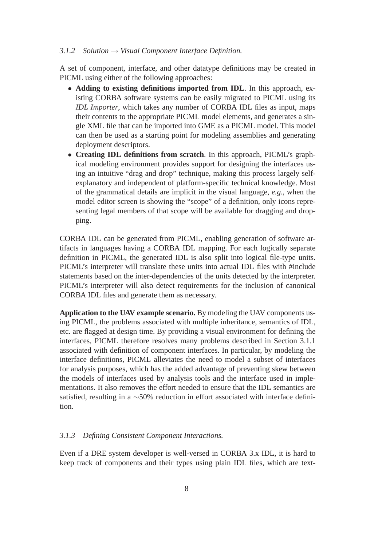#### *3.1.2 Solution* → *Visual Component Interface Definition.*

A set of component, interface, and other datatype definitions may be created in PICML using either of the following approaches:

- **Adding to existing definitions imported from IDL**. In this approach, existing CORBA software systems can be easily migrated to PICML using its *IDL Importer*, which takes any number of CORBA IDL files as input, maps their contents to the appropriate PICML model elements, and generates a single XML file that can be imported into GME as a PICML model. This model can then be used as a starting point for modeling assemblies and generating deployment descriptors.
- **Creating IDL definitions from scratch**. In this approach, PICML's graphical modeling environment provides support for designing the interfaces using an intuitive "drag and drop" technique, making this process largely selfexplanatory and independent of platform-specific technical knowledge. Most of the grammatical details are implicit in the visual language, *e.g.*, when the model editor screen is showing the "scope" of a definition, only icons representing legal members of that scope will be available for dragging and dropping.

CORBA IDL can be generated from PICML, enabling generation of software artifacts in languages having a CORBA IDL mapping. For each logically separate definition in PICML, the generated IDL is also split into logical file-type units. PICML's interpreter will translate these units into actual IDL files with #include statements based on the inter-dependencies of the units detected by the interpreter. PICML's interpreter will also detect requirements for the inclusion of canonical CORBA IDL files and generate them as necessary.

**Application to the UAV example scenario.** By modeling the UAV components using PICML, the problems associated with multiple inheritance, semantics of IDL, etc. are flagged at design time. By providing a visual environment for defining the interfaces, PICML therefore resolves many problems described in Section 3.1.1 associated with definition of component interfaces. In particular, by modeling the interface definitions, PICML alleviates the need to model a subset of interfaces for analysis purposes, which has the added advantage of preventing skew between the models of interfaces used by analysis tools and the interface used in implementations. It also removes the effort needed to ensure that the IDL semantics are satisfied, resulting in a ∼50% reduction in effort associated with interface definition.

#### *3.1.3 Defining Consistent Component Interactions.*

Even if a DRE system developer is well-versed in CORBA 3.x IDL, it is hard to keep track of components and their types using plain IDL files, which are text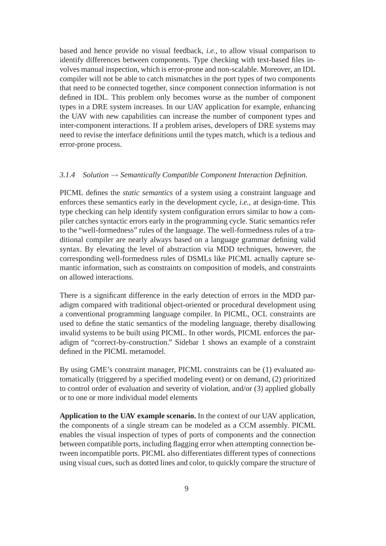based and hence provide no visual feedback, *i.e.*, to allow visual comparison to identify differences between components. Type checking with text-based files involves manual inspection, which is error-prone and non-scalable. Moreover, an IDL compiler will not be able to catch mismatches in the port types of two components that need to be connected together, since component connection information is not defined in IDL. This problem only becomes worse as the number of component types in a DRE system increases. In our UAV application for example, enhancing the UAV with new capabilities can increase the number of component types and inter-component interactions. If a problem arises, developers of DRE systems may need to revise the interface definitions until the types match, which is a tedious and error-prone process.

#### *3.1.4 Solution* → *Semantically Compatible Component Interaction Definition.*

PICML defines the *static semantics* of a system using a constraint language and enforces these semantics early in the development cycle, *i.e.*, at design-time. This type checking can help identify system configuration errors similar to how a compiler catches syntactic errors early in the programming cycle. Static semantics refer to the "well-formedness" rules of the language. The well-formedness rules of a traditional compiler are nearly always based on a language grammar defining valid syntax. By elevating the level of abstraction via MDD techniques, however, the corresponding well-formedness rules of DSMLs like PICML actually capture semantic information, such as constraints on composition of models, and constraints on allowed interactions.

There is a significant difference in the early detection of errors in the MDD paradigm compared with traditional object-oriented or procedural development using a conventional programming language compiler. In PICML, OCL constraints are used to define the static semantics of the modeling language, thereby disallowing invalid systems to be built using PICML. In other words, PICML enforces the paradigm of "correct-by-construction." Sidebar 1 shows an example of a constraint defined in the PICML metamodel.

By using GME's constraint manager, PICML constraints can be (1) evaluated automatically (triggered by a specified modeling event) or on demand, (2) prioritized to control order of evaluation and severity of violation, and/or (3) applied globally or to one or more individual model elements

**Application to the UAV example scenario.** In the context of our UAV application, the components of a single stream can be modeled as a CCM assembly. PICML enables the visual inspection of types of ports of components and the connection between compatible ports, including flagging error when attempting connection between incompatible ports. PICML also differentiates different types of connections using visual cues, such as dotted lines and color, to quickly compare the structure of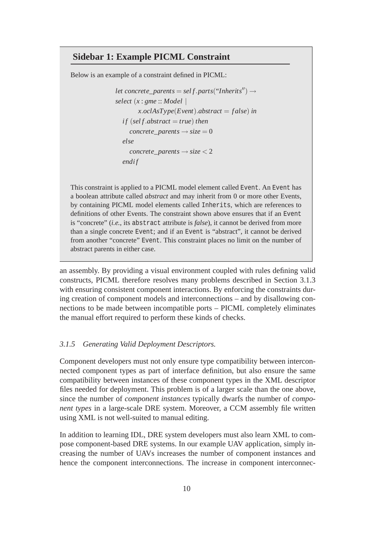# **Sidebar 1: Example PICML Constraint**

Below is an example of a constraint defined in PICML:

```
let concrete_parents = self.parts("Inherits") \rightarrowselect (x : gme :: Model |
      x.oclAsType(Event).abstract = f alse) in
if (self. abstract = true) thenconcrete\_parents \rightarrow size = 0else
   concrete parents \rightarrow size < 2endi f
```
This constraint is applied to a PICML model element called Event. An Event has a boolean attribute called *abstract* and may inherit from 0 or more other Events, by containing PICML model elements called Inherits, which are references to definitions of other Events. The constraint shown above ensures that if an Event is "concrete" (*i.e.*, its abstract attribute is *false*), it cannot be derived from more than a single concrete Event; and if an Event is "abstract", it cannot be derived from another "concrete" Event. This constraint places no limit on the number of abstract parents in either case.

an assembly. By providing a visual environment coupled with rules defining valid constructs, PICML therefore resolves many problems described in Section 3.1.3 with ensuring consistent component interactions. By enforcing the constraints during creation of component models and interconnections – and by disallowing connections to be made between incompatible ports – PICML completely eliminates the manual effort required to perform these kinds of checks.

#### *3.1.5 Generating Valid Deployment Descriptors.*

Component developers must not only ensure type compatibility between interconnected component types as part of interface definition, but also ensure the same compatibility between instances of these component types in the XML descriptor files needed for deployment. This problem is of a larger scale than the one above, since the number of *component instances* typically dwarfs the number of *component types* in a large-scale DRE system. Moreover, a CCM assembly file written using XML is not well-suited to manual editing.

In addition to learning IDL, DRE system developers must also learn XML to compose component-based DRE systems. In our example UAV application, simply increasing the number of UAVs increases the number of component instances and hence the component interconnections. The increase in component interconnec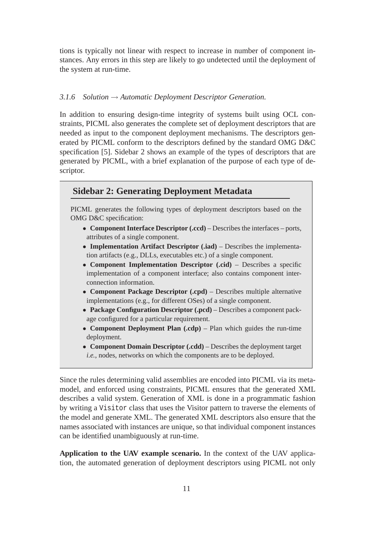tions is typically not linear with respect to increase in number of component instances. Any errors in this step are likely to go undetected until the deployment of the system at run-time.

#### *3.1.6 Solution* → *Automatic Deployment Descriptor Generation.*

In addition to ensuring design-time integrity of systems built using OCL constraints, PICML also generates the complete set of deployment descriptors that are needed as input to the component deployment mechanisms. The descriptors generated by PICML conform to the descriptors defined by the standard OMG D&C specification [5]. Sidebar 2 shows an example of the types of descriptors that are generated by PICML, with a brief explanation of the purpose of each type of descriptor.

# **Sidebar 2: Generating Deployment Metadata**

PICML generates the following types of deployment descriptors based on the OMG D&C specification:

- **Component Interface Descriptor (.ccd)** Describes the interfaces ports, attributes of a single component.
- **Implementation Artifact Descriptor (.iad)** Describes the implementation artifacts (e.g., DLLs, executables etc.) of a single component.
- **Component Implementation Descriptor (.cid)** Describes a specific implementation of a component interface; also contains component interconnection information.
- **Component Package Descriptor (.cpd)** Describes multiple alternative implementations (e.g., for different OSes) of a single component.
- **Package Configuration Descriptor (.pcd)** Describes a component package configured for a particular requirement.
- **Component Deployment Plan (.cdp)** Plan which guides the run-time deployment.
- **Component Domain Descriptor (.cdd)** Describes the deployment target *i.e.*, nodes, networks on which the components are to be deployed.

Since the rules determining valid assemblies are encoded into PICML via its metamodel, and enforced using constraints, PICML ensures that the generated XML describes a valid system. Generation of XML is done in a programmatic fashion by writing a Visitor class that uses the Visitor pattern to traverse the elements of the model and generate XML. The generated XML descriptors also ensure that the names associated with instances are unique, so that individual component instances can be identified unambiguously at run-time.

**Application to the UAV example scenario.** In the context of the UAV application, the automated generation of deployment descriptors using PICML not only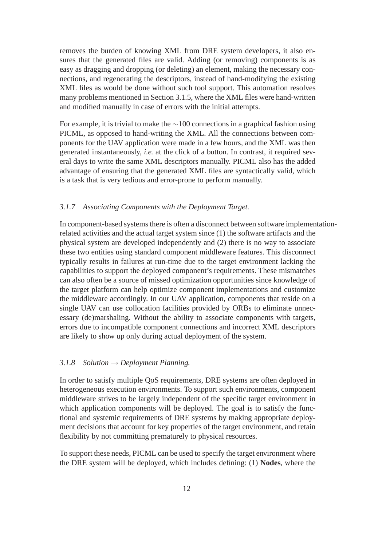removes the burden of knowing XML from DRE system developers, it also ensures that the generated files are valid. Adding (or removing) components is as easy as dragging and dropping (or deleting) an element, making the necessary connections, and regenerating the descriptors, instead of hand-modifying the existing XML files as would be done without such tool support. This automation resolves many problems mentioned in Section 3.1.5, where the XML files were hand-written and modified manually in case of errors with the initial attempts.

For example, it is trivial to make the ∼100 connections in a graphical fashion using PICML, as opposed to hand-writing the XML. All the connections between components for the UAV application were made in a few hours, and the XML was then generated instantaneously, *i.e.* at the click of a button. In contrast, it required several days to write the same XML descriptors manually. PICML also has the added advantage of ensuring that the generated XML files are syntactically valid, which is a task that is very tedious and error-prone to perform manually.

#### *3.1.7 Associating Components with the Deployment Target.*

In component-based systems there is often a disconnect between software implementationrelated activities and the actual target system since (1) the software artifacts and the physical system are developed independently and (2) there is no way to associate these two entities using standard component middleware features. This disconnect typically results in failures at run-time due to the target environment lacking the capabilities to support the deployed component's requirements. These mismatches can also often be a source of missed optimization opportunities since knowledge of the target platform can help optimize component implementations and customize the middleware accordingly. In our UAV application, components that reside on a single UAV can use collocation facilities provided by ORBs to eliminate unnecessary (de)marshaling. Without the ability to associate components with targets, errors due to incompatible component connections and incorrect XML descriptors are likely to show up only during actual deployment of the system.

#### *3.1.8 Solution* → *Deployment Planning.*

In order to satisfy multiple QoS requirements, DRE systems are often deployed in heterogeneous execution environments. To support such environments, component middleware strives to be largely independent of the specific target environment in which application components will be deployed. The goal is to satisfy the functional and systemic requirements of DRE systems by making appropriate deployment decisions that account for key properties of the target environment, and retain flexibility by not committing prematurely to physical resources.

To support these needs, PICML can be used to specify the target environment where the DRE system will be deployed, which includes defining: (1) **Nodes**, where the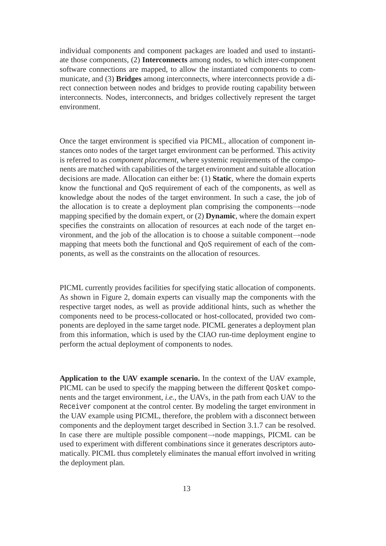individual components and component packages are loaded and used to instantiate those components, (2) **Interconnects** among nodes, to which inter-component software connections are mapped, to allow the instantiated components to communicate, and (3) **Bridges** among interconnects, where interconnects provide a direct connection between nodes and bridges to provide routing capability between interconnects. Nodes, interconnects, and bridges collectively represent the target environment.

Once the target environment is specified via PICML, allocation of component instances onto nodes of the target target environment can be performed. This activity is referred to as *component placement*, where systemic requirements of the components are matched with capabilities of the target environment and suitable allocation decisions are made. Allocation can either be: (1) **Static**, where the domain experts know the functional and QoS requirement of each of the components, as well as knowledge about the nodes of the target environment. In such a case, the job of the allocation is to create a deployment plan comprising the components→node mapping specified by the domain expert, or (2) **Dynamic**, where the domain expert specifies the constraints on allocation of resources at each node of the target environment, and the job of the allocation is to choose a suitable component→node mapping that meets both the functional and QoS requirement of each of the components, as well as the constraints on the allocation of resources.

PICML currently provides facilities for specifying static allocation of components. As shown in Figure 2, domain experts can visually map the components with the respective target nodes, as well as provide additional hints, such as whether the components need to be process-collocated or host-collocated, provided two components are deployed in the same target node. PICML generates a deployment plan from this information, which is used by the CIAO run-time deployment engine to perform the actual deployment of components to nodes.

**Application to the UAV example scenario.** In the context of the UAV example, PICML can be used to specify the mapping between the different Qosket components and the target environment, *i.e.*, the UAVs, in the path from each UAV to the Receiver component at the control center. By modeling the target environment in the UAV example using PICML, therefore, the problem with a disconnect between components and the deployment target described in Section 3.1.7 can be resolved. In case there are multiple possible component→node mappings, PICML can be used to experiment with different combinations since it generates descriptors automatically. PICML thus completely eliminates the manual effort involved in writing the deployment plan.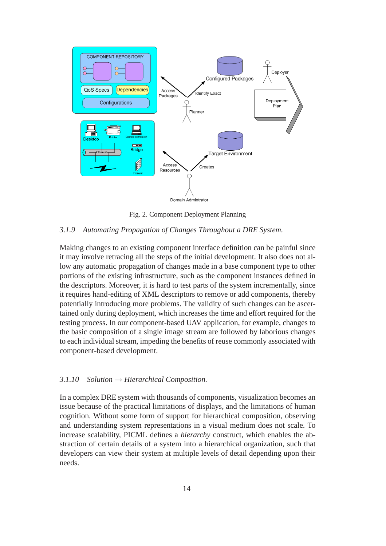

Fig. 2. Component Deployment Planning

#### *3.1.9 Automating Propagation of Changes Throughout a DRE System.*

Making changes to an existing component interface definition can be painful since it may involve retracing all the steps of the initial development. It also does not allow any automatic propagation of changes made in a base component type to other portions of the existing infrastructure, such as the component instances defined in the descriptors. Moreover, it is hard to test parts of the system incrementally, since it requires hand-editing of XML descriptors to remove or add components, thereby potentially introducing more problems. The validity of such changes can be ascertained only during deployment, which increases the time and effort required for the testing process. In our component-based UAV application, for example, changes to the basic composition of a single image stream are followed by laborious changes to each individual stream, impeding the benefits of reuse commonly associated with component-based development.

#### *3.1.10 Solution* → *Hierarchical Composition.*

In a complex DRE system with thousands of components, visualization becomes an issue because of the practical limitations of displays, and the limitations of human cognition. Without some form of support for hierarchical composition, observing and understanding system representations in a visual medium does not scale. To increase scalability, PICML defines a *hierarchy* construct, which enables the abstraction of certain details of a system into a hierarchical organization, such that developers can view their system at multiple levels of detail depending upon their needs.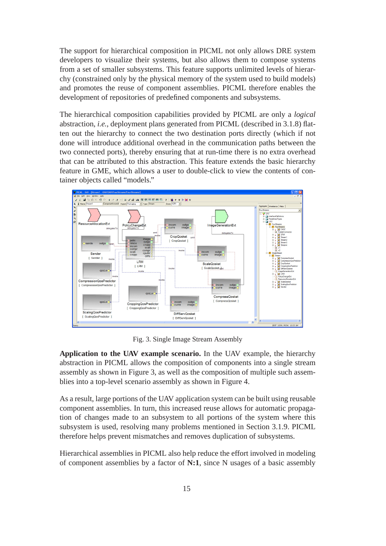The support for hierarchical composition in PICML not only allows DRE system developers to visualize their systems, but also allows them to compose systems from a set of smaller subsystems. This feature supports unlimited levels of hierarchy (constrained only by the physical memory of the system used to build models) and promotes the reuse of component assemblies. PICML therefore enables the development of repositories of predefined components and subsystems.

The hierarchical composition capabilities provided by PICML are only a *logical* abstraction, *i.e.*, deployment plans generated from PICML (described in 3.1.8) flatten out the hierarchy to connect the two destination ports directly (which if not done will introduce additional overhead in the communication paths between the two connected ports), thereby ensuring that at run-time there is no extra overhead that can be attributed to this abstraction. This feature extends the basic hierarchy feature in GME, which allows a user to double-click to view the contents of container objects called "models."



Fig. 3. Single Image Stream Assembly

**Application to the UAV example scenario.** In the UAV example, the hierarchy abstraction in PICML allows the composition of components into a single stream assembly as shown in Figure 3, as well as the composition of multiple such assemblies into a top-level scenario assembly as shown in Figure 4.

As a result, large portions of the UAV application system can be built using reusable component assemblies. In turn, this increased reuse allows for automatic propagation of changes made to an subsystem to all portions of the system where this subsystem is used, resolving many problems mentioned in Section 3.1.9. PICML therefore helps prevent mismatches and removes duplication of subsystems.

Hierarchical assemblies in PICML also help reduce the effort involved in modeling of component assemblies by a factor of **N:1**, since N usages of a basic assembly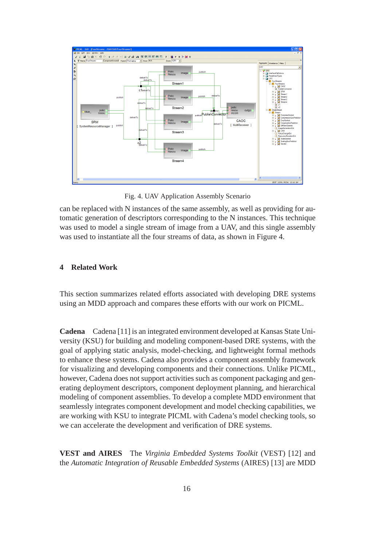

Fig. 4. UAV Application Assembly Scenario

can be replaced with N instances of the same assembly, as well as providing for automatic generation of descriptors corresponding to the N instances. This technique was used to model a single stream of image from a UAV, and this single assembly was used to instantiate all the four streams of data, as shown in Figure 4.

### **4 Related Work**

This section summarizes related efforts associated with developing DRE systems using an MDD approach and compares these efforts with our work on PICML.

**Cadena** Cadena [11] is an integrated environment developed at Kansas State University (KSU) for building and modeling component-based DRE systems, with the goal of applying static analysis, model-checking, and lightweight formal methods to enhance these systems. Cadena also provides a component assembly framework for visualizing and developing components and their connections. Unlike PICML, however, Cadena does not support activities such as component packaging and generating deployment descriptors, component deployment planning, and hierarchical modeling of component assemblies. To develop a complete MDD environment that seamlessly integrates component development and model checking capabilities, we are working with KSU to integrate PICML with Cadena's model checking tools, so we can accelerate the development and verification of DRE systems.

**VEST and AIRES** The *Virginia Embedded Systems Toolkit* (VEST) [12] and the *Automatic Integration of Reusable Embedded Systems* (AIRES) [13] are MDD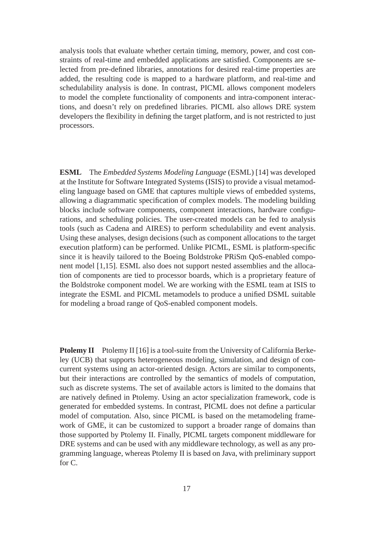analysis tools that evaluate whether certain timing, memory, power, and cost constraints of real-time and embedded applications are satisfied. Components are selected from pre-defined libraries, annotations for desired real-time properties are added, the resulting code is mapped to a hardware platform, and real-time and schedulability analysis is done. In contrast, PICML allows component modelers to model the complete functionality of components and intra-component interactions, and doesn't rely on predefined libraries. PICML also allows DRE system developers the flexibility in defining the target platform, and is not restricted to just processors.

**ESML** The *Embedded Systems Modeling Language* (ESML) [14] was developed at the Institute for Software Integrated Systems (ISIS) to provide a visual metamodeling language based on GME that captures multiple views of embedded systems, allowing a diagrammatic specification of complex models. The modeling building blocks include software components, component interactions, hardware configurations, and scheduling policies. The user-created models can be fed to analysis tools (such as Cadena and AIRES) to perform schedulability and event analysis. Using these analyses, design decisions (such as component allocations to the target execution platform) can be performed. Unlike PICML, ESML is platform-specific since it is heavily tailored to the Boeing Boldstroke PRiSm QoS-enabled component model [1,15]. ESML also does not support nested assemblies and the allocation of components are tied to processor boards, which is a proprietary feature of the Boldstroke component model. We are working with the ESML team at ISIS to integrate the ESML and PICML metamodels to produce a unified DSML suitable for modeling a broad range of QoS-enabled component models.

**Ptolemy II** Ptolemy II [16] is a tool-suite from the University of California Berkeley (UCB) that supports heterogeneous modeling, simulation, and design of concurrent systems using an actor-oriented design. Actors are similar to components, but their interactions are controlled by the semantics of models of computation, such as discrete systems. The set of available actors is limited to the domains that are natively defined in Ptolemy. Using an actor specialization framework, code is generated for embedded systems. In contrast, PICML does not define a particular model of computation. Also, since PICML is based on the metamodeling framework of GME, it can be customized to support a broader range of domains than those supported by Ptolemy II. Finally, PICML targets component middleware for DRE systems and can be used with any middleware technology, as well as any programming language, whereas Ptolemy II is based on Java, with preliminary support for C.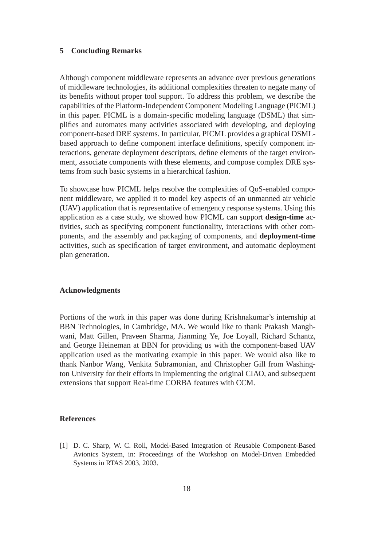#### **5 Concluding Remarks**

Although component middleware represents an advance over previous generations of middleware technologies, its additional complexities threaten to negate many of its benefits without proper tool support. To address this problem, we describe the capabilities of the Platform-Independent Component Modeling Language (PICML) in this paper. PICML is a domain-specific modeling language (DSML) that simplifies and automates many activities associated with developing, and deploying component-based DRE systems. In particular, PICML provides a graphical DSMLbased approach to define component interface definitions, specify component interactions, generate deployment descriptors, define elements of the target environment, associate components with these elements, and compose complex DRE systems from such basic systems in a hierarchical fashion.

To showcase how PICML helps resolve the complexities of QoS-enabled component middleware, we applied it to model key aspects of an unmanned air vehicle (UAV) application that is representative of emergency response systems. Using this application as a case study, we showed how PICML can support **design-time** activities, such as specifying component functionality, interactions with other components, and the assembly and packaging of components, and **deployment-time** activities, such as specification of target environment, and automatic deployment plan generation.

#### **Acknowledgments**

Portions of the work in this paper was done during Krishnakumar's internship at BBN Technologies, in Cambridge, MA. We would like to thank Prakash Manghwani, Matt Gillen, Praveen Sharma, Jianming Ye, Joe Loyall, Richard Schantz, and George Heineman at BBN for providing us with the component-based UAV application used as the motivating example in this paper. We would also like to thank Nanbor Wang, Venkita Subramonian, and Christopher Gill from Washington University for their efforts in implementing the original CIAO, and subsequent extensions that support Real-time CORBA features with CCM.

#### **References**

[1] D. C. Sharp, W. C. Roll, Model-Based Integration of Reusable Component-Based Avionics System, in: Proceedings of the Workshop on Model-Driven Embedded Systems in RTAS 2003, 2003.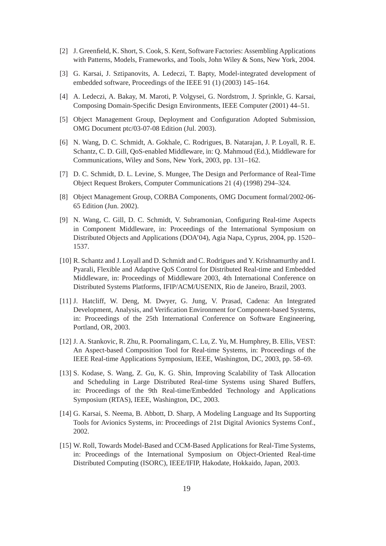- [2] J. Greenfield, K. Short, S. Cook, S. Kent, Software Factories: Assembling Applications with Patterns, Models, Frameworks, and Tools, John Wiley & Sons, New York, 2004.
- [3] G. Karsai, J. Sztipanovits, A. Ledeczi, T. Bapty, Model-integrated development of embedded software, Proceedings of the IEEE 91 (1) (2003) 145–164.
- [4] A. Ledeczi, A. Bakay, M. Maroti, P. Volgysei, G. Nordstrom, J. Sprinkle, G. Karsai, Composing Domain-Specific Design Environments, IEEE Computer (2001) 44–51.
- [5] Object Management Group, Deployment and Configuration Adopted Submission, OMG Document ptc/03-07-08 Edition (Jul. 2003).
- [6] N. Wang, D. C. Schmidt, A. Gokhale, C. Rodrigues, B. Natarajan, J. P. Loyall, R. E. Schantz, C. D. Gill, QoS-enabled Middleware, in: Q. Mahmoud (Ed.), Middleware for Communications, Wiley and Sons, New York, 2003, pp. 131–162.
- [7] D. C. Schmidt, D. L. Levine, S. Mungee, The Design and Performance of Real-Time Object Request Brokers, Computer Communications 21 (4) (1998) 294–324.
- [8] Object Management Group, CORBA Components, OMG Document formal/2002-06- 65 Edition (Jun. 2002).
- [9] N. Wang, C. Gill, D. C. Schmidt, V. Subramonian, Configuring Real-time Aspects in Component Middleware, in: Proceedings of the International Symposium on Distributed Objects and Applications (DOA'04), Agia Napa, Cyprus, 2004, pp. 1520– 1537.
- [10] R. Schantz and J. Loyall and D. Schmidt and C. Rodrigues and Y. Krishnamurthy and I. Pyarali, Flexible and Adaptive QoS Control for Distributed Real-time and Embedded Middleware, in: Proceedings of Middleware 2003, 4th International Conference on Distributed Systems Platforms, IFIP/ACM/USENIX, Rio de Janeiro, Brazil, 2003.
- [11] J. Hatcliff, W. Deng, M. Dwyer, G. Jung, V. Prasad, Cadena: An Integrated Development, Analysis, and Verification Environment for Component-based Systems, in: Proceedings of the 25th International Conference on Software Engineering, Portland, OR, 2003.
- [12] J. A. Stankovic, R. Zhu, R. Poornalingam, C. Lu, Z. Yu, M. Humphrey, B. Ellis, VEST: An Aspect-based Composition Tool for Real-time Systems, in: Proceedings of the IEEE Real-time Applications Symposium, IEEE, Washington, DC, 2003, pp. 58–69.
- [13] S. Kodase, S. Wang, Z. Gu, K. G. Shin, Improving Scalability of Task Allocation and Scheduling in Large Distributed Real-time Systems using Shared Buffers, in: Proceedings of the 9th Real-time/Embedded Technology and Applications Symposium (RTAS), IEEE, Washington, DC, 2003.
- [14] G. Karsai, S. Neema, B. Abbott, D. Sharp, A Modeling Language and Its Supporting Tools for Avionics Systems, in: Proceedings of 21st Digital Avionics Systems Conf., 2002.
- [15] W. Roll, Towards Model-Based and CCM-Based Applications for Real-Time Systems, in: Proceedings of the International Symposium on Object-Oriented Real-time Distributed Computing (ISORC), IEEE/IFIP, Hakodate, Hokkaido, Japan, 2003.